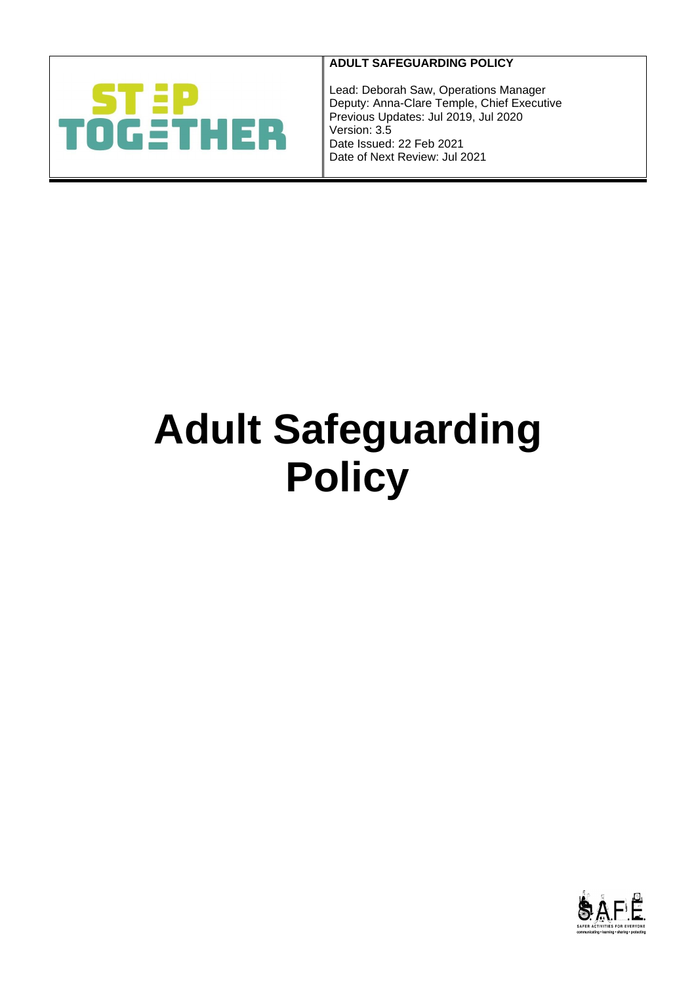

# **ADULT SAFEGUARDING POLICY**

Lead: Deborah Saw, Operations Manager Deputy: Anna-Clare Temple, Chief Executive Previous Updates: Jul 2019, Jul 2020 Version: 3.5 Date Issued: 22 Feb 2021 Date of Next Review: Jul 2021

# **Adult Safeguarding Policy**

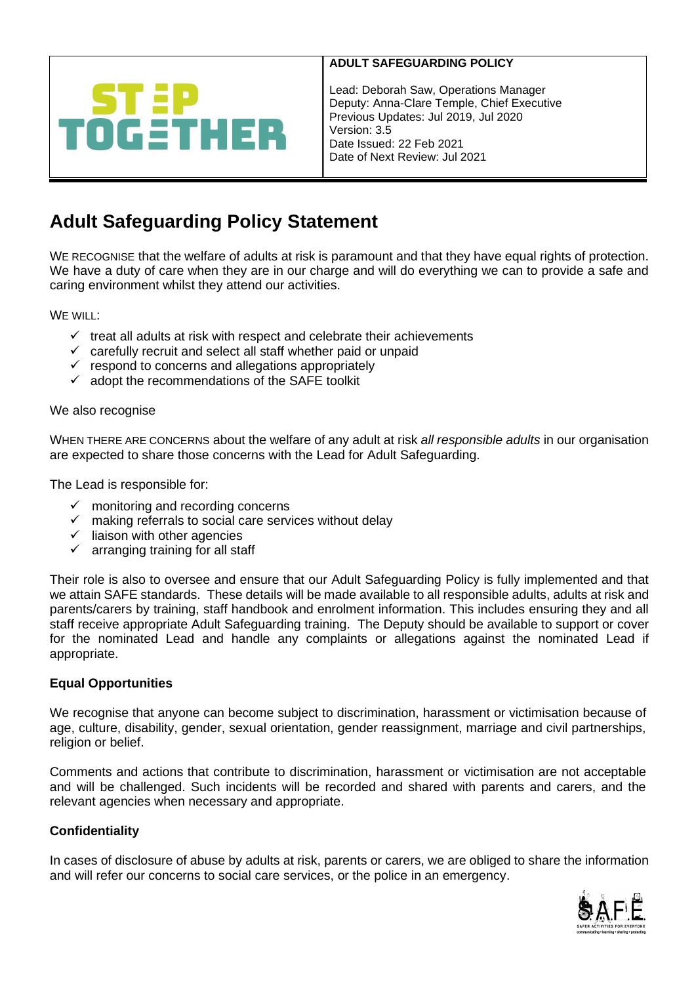

Lead: Deborah Saw, Operations Manager Deputy: Anna-Clare Temple, Chief Executive Previous Updates: Jul 2019, Jul 2020 Version: 3.5 Date Issued: 22 Feb 2021 Date of Next Review: Jul 2021

# **Adult Safeguarding Policy Statement**

WE RECOGNISE that the welfare of adults at risk is paramount and that they have equal rights of protection. We have a duty of care when they are in our charge and will do everything we can to provide a safe and caring environment whilst they attend our activities.

WE WILL:

- $\checkmark$  treat all adults at risk with respect and celebrate their achievements
- $\checkmark$  carefully recruit and select all staff whether paid or unpaid
- $\checkmark$  respond to concerns and allegations appropriately
- $\checkmark$  adopt the recommendations of the SAFE toolkit

#### We also recognise

WHEN THERE ARE CONCERNS about the welfare of any adult at risk *all responsible adults* in our organisation are expected to share those concerns with the Lead for Adult Safeguarding.

The Lead is responsible for:

- $\checkmark$  monitoring and recording concerns
- $\checkmark$  making referrals to social care services without delay
- $\checkmark$  liaison with other agencies
- $\checkmark$  arranging training for all staff

Their role is also to oversee and ensure that our Adult Safeguarding Policy is fully implemented and that we attain SAFE standards. These details will be made available to all responsible adults, adults at risk and parents/carers by training, staff handbook and enrolment information. This includes ensuring they and all staff receive appropriate Adult Safeguarding training. The Deputy should be available to support or cover for the nominated Lead and handle any complaints or allegations against the nominated Lead if appropriate.

## **Equal Opportunities**

We recognise that anyone can become subject to discrimination, harassment or victimisation because of age, culture, disability, gender, sexual orientation, gender reassignment, marriage and civil partnerships, religion or belief.

Comments and actions that contribute to discrimination, harassment or victimisation are not acceptable and will be challenged. Such incidents will be recorded and shared with parents and carers, and the relevant agencies when necessary and appropriate.

## **Confidentiality**

In cases of disclosure of abuse by adults at risk, parents or carers, we are obliged to share the information and will refer our concerns to social care services, or the police in an emergency.

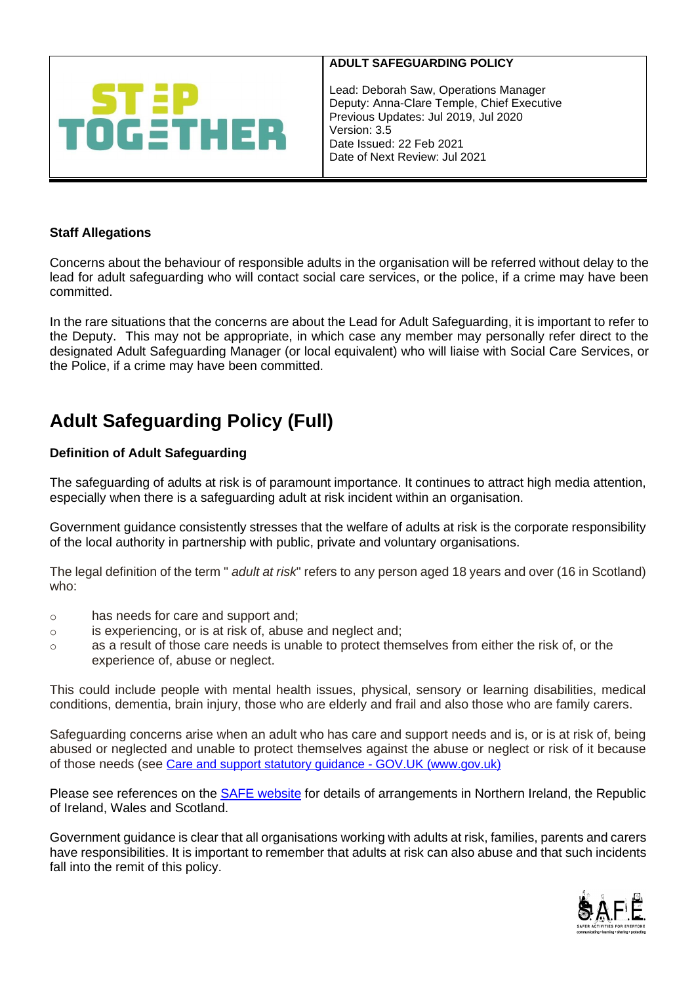

Lead: Deborah Saw, Operations Manager Deputy: Anna-Clare Temple, Chief Executive Previous Updates: Jul 2019, Jul 2020 Version: 3.5 Date Issued: 22 Feb 2021 Date of Next Review: Jul 2021

# **Staff Allegations**

Concerns about the behaviour of responsible adults in the organisation will be referred without delay to the lead for adult safeguarding who will contact social care services, or the police, if a crime may have been committed.

In the rare situations that the concerns are about the Lead for Adult Safeguarding, it is important to refer to the Deputy. This may not be appropriate, in which case any member may personally refer direct to the designated Adult Safeguarding Manager (or local equivalent) who will liaise with Social Care Services, or the Police, if a crime may have been committed.

# **Adult Safeguarding Policy (Full)**

## **Definition of Adult Safeguarding**

The safeguarding of adults at risk is of paramount importance. It continues to attract high media attention, especially when there is a safeguarding adult at risk incident within an organisation.

Government guidance consistently stresses that the welfare of adults at risk is the corporate responsibility of the local authority in partnership with public, private and voluntary organisations.

The legal definition of the term " *adult at risk*" refers to any person aged 18 years and over (16 in Scotland) who:

- o has needs for care and support and;
- o is experiencing, or is at risk of, abuse and neglect and;
- $\circ$  as a result of those care needs is unable to protect themselves from either the risk of, or the experience of, abuse or neglect.

This could include people with mental health issues, physical, sensory or learning disabilities, medical conditions, dementia, brain injury, those who are elderly and frail and also those who are family carers.

Safeguarding concerns arise when an adult who has care and support needs and is, or is at risk of, being abused or neglected and unable to protect themselves against the abuse or neglect or risk of it because of those needs (see [Care and support statutory guidance -](https://www.gov.uk/government/publications/care-act-statutory-guidance/care-and-support-statutory-guidance) GOV.UK (www.gov.uk)

Please see references on the [SAFE website](http://www.safecic.co.uk/freebies) for details of arrangements in Northern Ireland, the Republic of Ireland, Wales and Scotland.

Government guidance is clear that all organisations working with adults at risk, families, parents and carers have responsibilities. It is important to remember that adults at risk can also abuse and that such incidents fall into the remit of this policy.

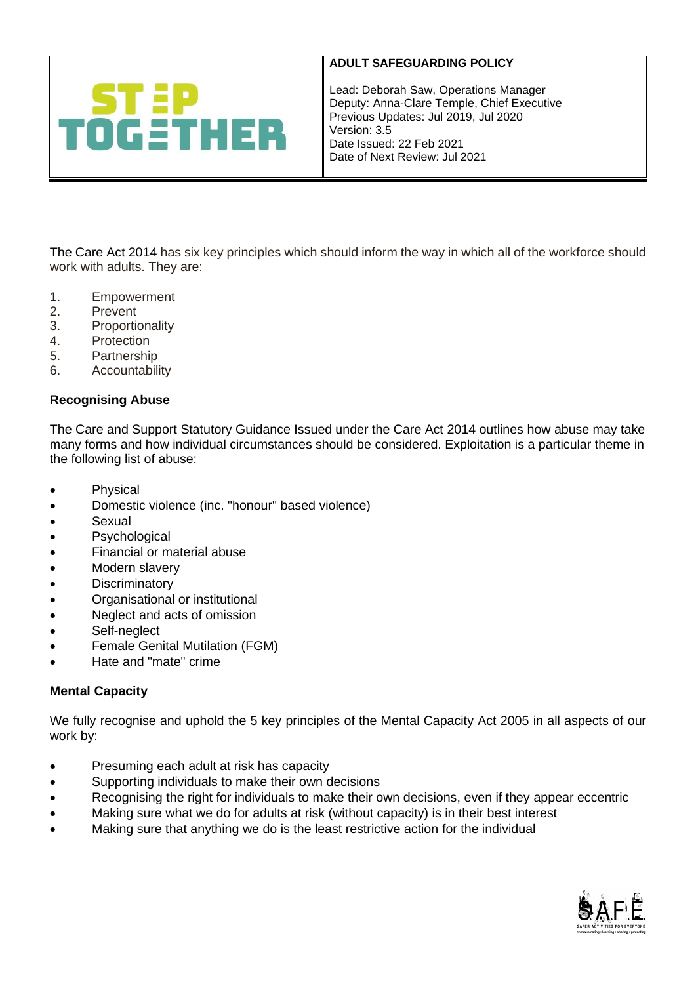

Lead: Deborah Saw, Operations Manager Deputy: Anna-Clare Temple, Chief Executive Previous Updates: Jul 2019, Jul 2020 Version: 3.5 Date Issued: 22 Feb 2021 Date of Next Review: Jul 2021

[The Care Act 2014](http://www.legislation.gov.uk/ukpga/2014/23/contents/enacted) has six key principles which should inform the way in which all of the workforce should work with adults. They are:

- 1. Empowerment
- 

- 2. Prevent<br>3. Proportic **Proportionality**
- 4. Protection
- 5. Partnership
- 6. Accountability

## **Recognising Abuse**

[The Care and Support Statutory Guidance Issued under the Care Act 2014 outlines how abuse may take](https://www.gov.uk/government/uploads/system/uploads/attachment_data/file/366104/43380_23902777_Care_Act_Book.pdf)  [many forms and how individual circumstances should be considered. Exploitation is a particular theme in](https://www.gov.uk/government/uploads/system/uploads/attachment_data/file/366104/43380_23902777_Care_Act_Book.pdf)  [the following list of abuse:](https://www.gov.uk/government/uploads/system/uploads/attachment_data/file/366104/43380_23902777_Care_Act_Book.pdf)

- Physical
- Domestic violence (inc. "honour" based violence)
- Sexual
- Psychological
- Financial or material abuse
- Modern slavery
- Discriminatory
- Organisational or institutional
- Neglect and acts of omission
- Self-neglect
- Female Genital Mutilation (FGM)
- Hate and "mate" crime

## **Mental Capacity**

We fully recognise and uphold the 5 key principles of the Mental Capacity Act 2005 in all aspects of our work by:

- Presuming each adult at risk has capacity
- Supporting individuals to make their own decisions
- Recognising the right for individuals to make their own decisions, even if they appear eccentric
- Making sure what we do for adults at risk (without capacity) is in their best interest
- Making sure that anything we do is the least restrictive action for the individual

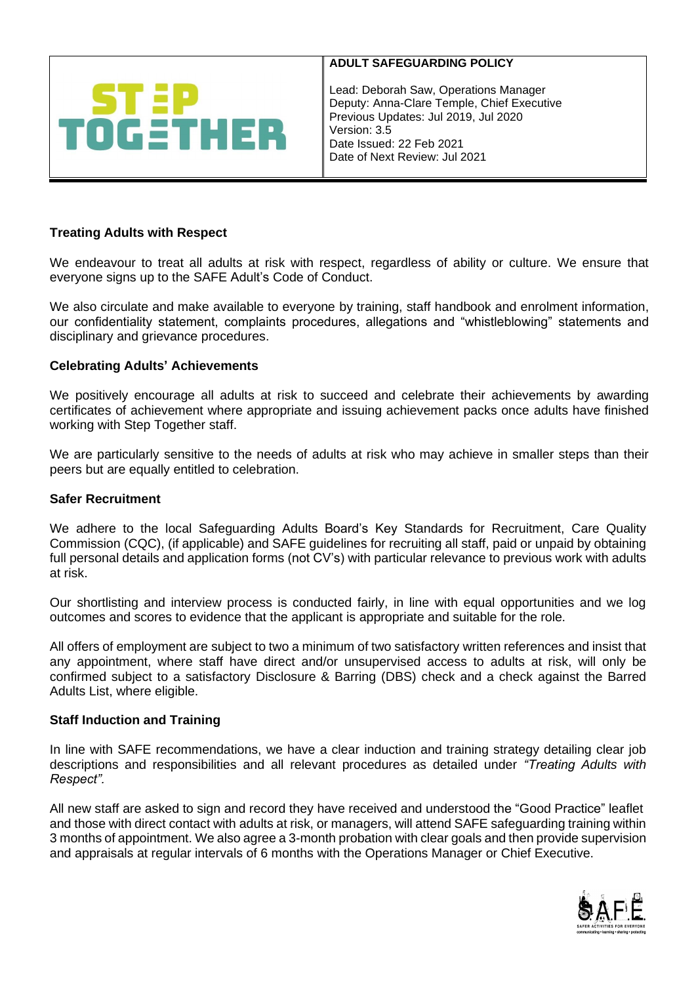

Lead: Deborah Saw, Operations Manager Deputy: Anna-Clare Temple, Chief Executive Previous Updates: Jul 2019, Jul 2020 Version: 3.5 Date Issued: 22 Feb 2021 Date of Next Review: Jul 2021

# **Treating Adults with Respect**

We endeavour to treat all adults at risk with respect, regardless of ability or culture. We ensure that everyone signs up to the SAFE Adult's Code of Conduct.

We also circulate and make available to everyone by training, staff handbook and enrolment information, our confidentiality statement, complaints procedures, allegations and "whistleblowing" statements and disciplinary and grievance procedures.

#### **Celebrating Adults' Achievements**

We positively encourage all adults at risk to succeed and celebrate their achievements by awarding certificates of achievement where appropriate and issuing achievement packs once adults have finished working with Step Together staff.

We are particularly sensitive to the needs of adults at risk who may achieve in smaller steps than their peers but are equally entitled to celebration.

#### **Safer Recruitment**

We adhere to the local Safeguarding Adults Board's Key Standards for Recruitment, Care Quality Commission (CQC), (if applicable) and SAFE guidelines for recruiting all staff, paid or unpaid by obtaining full personal details and application forms (not CV's) with particular relevance to previous work with adults at risk.

Our shortlisting and interview process is conducted fairly, in line with equal opportunities and we log outcomes and scores to evidence that the applicant is appropriate and suitable for the role.

All offers of employment are subject to two a minimum of two satisfactory written references and insist that any appointment, where staff have direct and/or unsupervised access to adults at risk, will only be confirmed subject to a satisfactory Disclosure & Barring (DBS) check and a check against the Barred Adults List, where eligible.

# **Staff Induction and Training**

In line with SAFE recommendations, we have a clear induction and training strategy detailing clear job descriptions and responsibilities and all relevant procedures as detailed under *"Treating Adults with Respect".*

All new staff are asked to sign and record they have received and understood the "Good Practice" leaflet and those with direct contact with adults at risk, or managers, will attend SAFE safeguarding training within 3 months of appointment. We also agree a 3-month probation with clear goals and then provide supervision and appraisals at regular intervals of 6 months with the Operations Manager or Chief Executive.

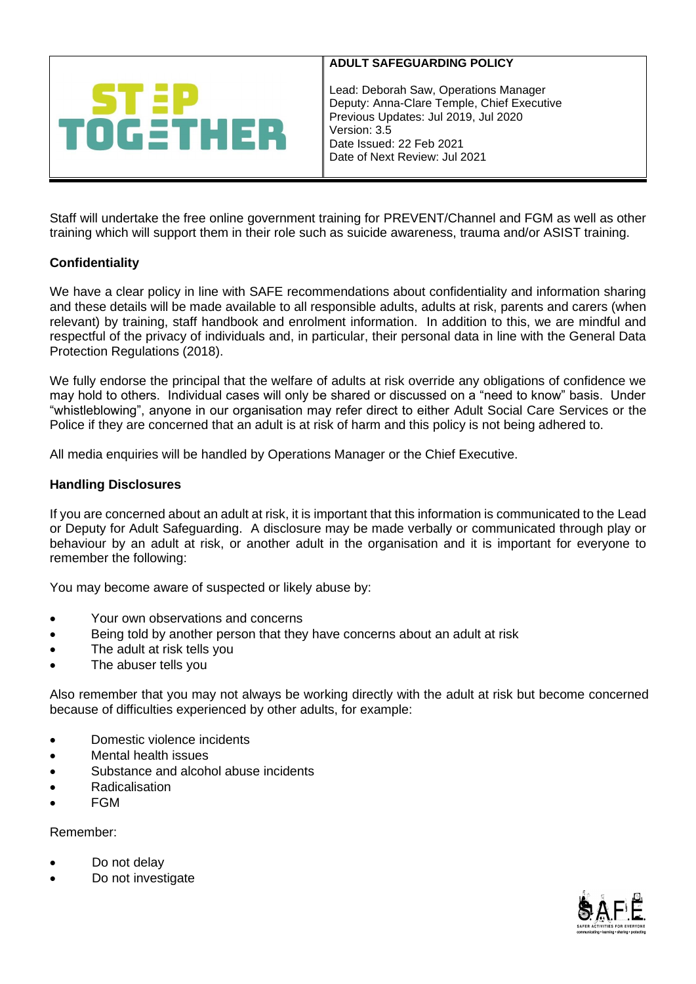

Lead: Deborah Saw, Operations Manager Deputy: Anna-Clare Temple, Chief Executive Previous Updates: Jul 2019, Jul 2020 Version: 3.5 Date Issued: 22 Feb 2021 Date of Next Review: Jul 2021

Staff will undertake the free online government training for [PREVENT/Channel](http://course.ncalt.com/Channel_General_Awareness/01/index.html) and [FGM](https://fgmelearning.co.uk/) as well as other training which will support them in their role such as suicide awareness, trauma and/or ASIST training.

# **Confidentiality**

We have a clear policy in line with SAFE recommendations about confidentiality and information sharing and these details will be made available to all responsible adults, adults at risk, parents and carers (when relevant) by training, staff handbook and enrolment information. In addition to this, we are mindful and respectful of the privacy of individuals and, in particular, their personal data in line with the General Data Protection Regulations (2018).

We fully endorse the principal that the welfare of adults at risk override any obligations of confidence we may hold to others. Individual cases will only be shared or discussed on a "need to know" basis. Under "whistleblowing", anyone in our organisation may refer direct to either Adult Social Care Services or the Police if they are concerned that an adult is at risk of harm and this policy is not being adhered to.

All media enquiries will be handled by Operations Manager or the Chief Executive.

## **Handling Disclosures**

If you are concerned about an adult at risk, it is important that this information is communicated to the Lead or Deputy for Adult Safeguarding. A disclosure may be made verbally or communicated through play or behaviour by an adult at risk, or another adult in the organisation and it is important for everyone to remember the following:

You may become aware of suspected or likely abuse by:

- Your own observations and concerns
- Being told by another person that they have concerns about an adult at risk
- The adult at risk tells you
- The abuser tells you

Also remember that you may not always be working directly with the adult at risk but become concerned because of difficulties experienced by other adults, for example:

- Domestic violence incidents
- Mental health issues
- Substance and alcohol abuse incidents
- Radicalisation
- FGM

Remember:

- Do not delay
- Do not investigate

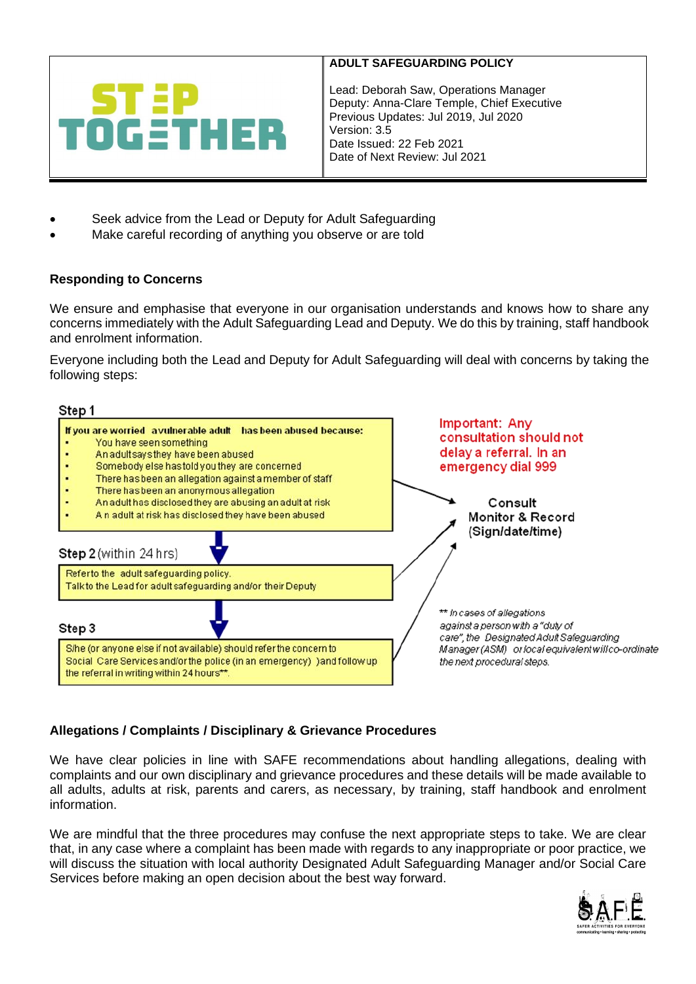

Lead: Deborah Saw, Operations Manager Deputy: Anna-Clare Temple, Chief Executive Previous Updates: Jul 2019, Jul 2020 Version: 3.5 Date Issued: 22 Feb 2021 Date of Next Review: Jul 2021

- Seek advice from the Lead or Deputy for Adult Safeguarding
- Make careful recording of anything you observe or are told

# **Responding to Concerns**

We ensure and emphasise that everyone in our organisation understands and knows how to share any concerns immediately with the Adult Safeguarding Lead and Deputy. We do this by training, staff handbook and enrolment information.

Everyone including both the Lead and Deputy for Adult Safeguarding will deal with concerns by taking the following steps:



# **Allegations / Complaints / Disciplinary & Grievance Procedures**

We have clear policies in line with SAFE recommendations about handling allegations, dealing with complaints and our own disciplinary and grievance procedures and these details will be made available to all adults, adults at risk, parents and carers, as necessary, by training, staff handbook and enrolment information.

We are mindful that the three procedures may confuse the next appropriate steps to take. We are clear that, in any case where a complaint has been made with regards to any inappropriate or poor practice, we will discuss the situation with local authority Designated Adult Safeguarding Manager and/or Social Care Services before making an open decision about the best way forward.

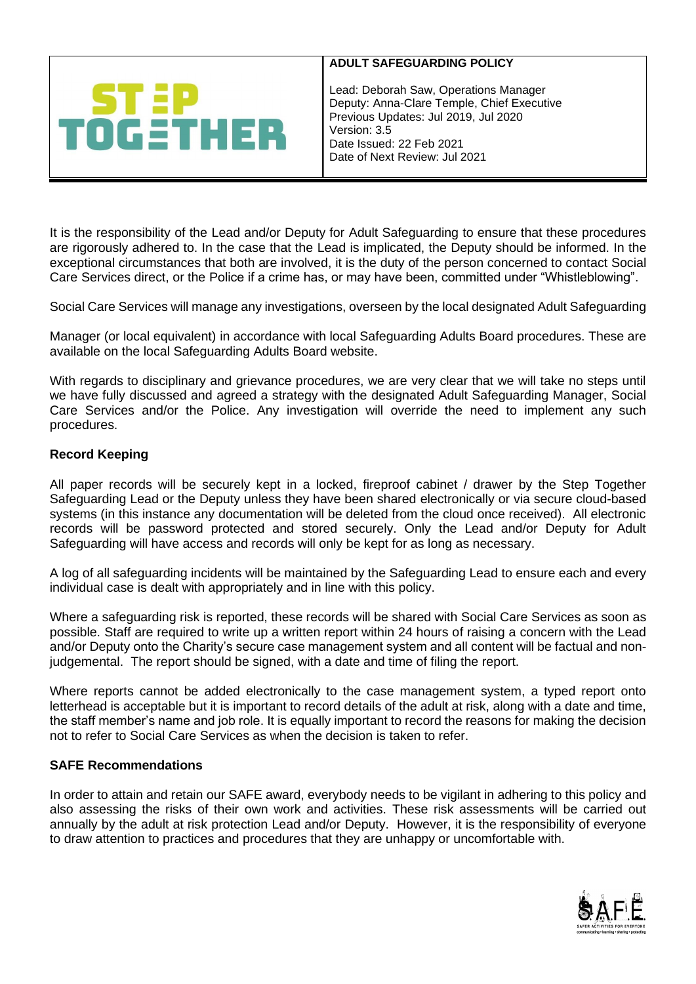

Lead: Deborah Saw, Operations Manager Deputy: Anna-Clare Temple, Chief Executive Previous Updates: Jul 2019, Jul 2020 Version: 3.5 Date Issued: 22 Feb 2021 Date of Next Review: Jul 2021

It is the responsibility of the Lead and/or Deputy for Adult Safeguarding to ensure that these procedures are rigorously adhered to. In the case that the Lead is implicated, the Deputy should be informed. In the exceptional circumstances that both are involved, it is the duty of the person concerned to contact Social Care Services direct, or the Police if a crime has, or may have been, committed under "Whistleblowing".

Social Care Services will manage any investigations, overseen by the local designated Adult Safeguarding

Manager (or local equivalent) in accordance with local Safeguarding Adults Board procedures. These are available on the local Safeguarding Adults Board website.

With regards to disciplinary and grievance procedures, we are very clear that we will take no steps until we have fully discussed and agreed a strategy with the designated Adult Safeguarding Manager, Social Care Services and/or the Police. Any investigation will override the need to implement any such procedures.

## **Record Keeping**

All paper records will be securely kept in a locked, fireproof cabinet / drawer by the Step Together Safeguarding Lead or the Deputy unless they have been shared electronically or via secure cloud-based systems (in this instance any documentation will be deleted from the cloud once received). All electronic records will be password protected and stored securely. Only the Lead and/or Deputy for Adult Safeguarding will have access and records will only be kept for as long as necessary.

A log of all safeguarding incidents will be maintained by the Safeguarding Lead to ensure each and every individual case is dealt with appropriately and in line with this policy.

Where a safeguarding risk is reported, these records will be shared with Social Care Services as soon as possible. Staff are required to write up a written report within 24 hours of raising a concern with the Lead and/or Deputy onto the Charity's secure case management system and all content will be factual and nonjudgemental. The report should be signed, with a date and time of filing the report.

Where reports cannot be added electronically to the case management system, a typed report onto letterhead is acceptable but it is important to record details of the adult at risk, along with a date and time, the staff member's name and job role. It is equally important to record the reasons for making the decision not to refer to Social Care Services as when the decision is taken to refer.

#### **SAFE Recommendations**

In order to attain and retain our SAFE award, everybody needs to be vigilant in adhering to this policy and also assessing the risks of their own work and activities. These risk assessments will be carried out annually by the adult at risk protection Lead and/or Deputy. However, it is the responsibility of everyone to draw attention to practices and procedures that they are unhappy or uncomfortable with.